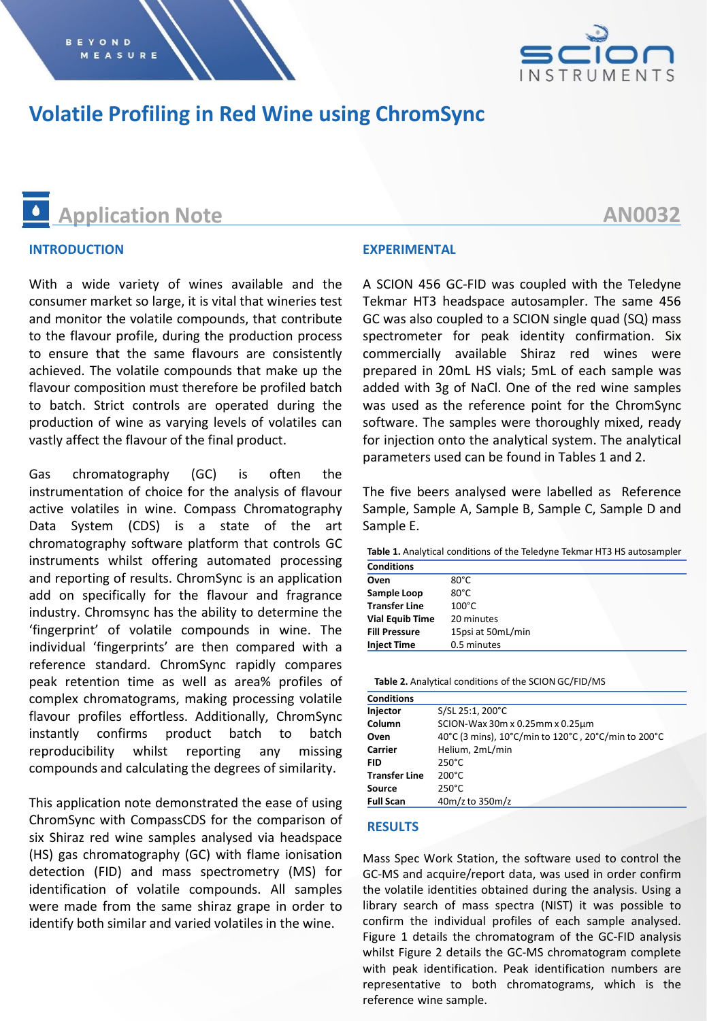

### **Volatile Profiling in Red Wine using ChromSync**

## **Application Note**

#### **INTRODUCTION**

With a wide variety of wines available and the consumer market so large, it is vital that wineries test and monitor the volatile compounds, that contribute to the flavour profile, during the production process to ensure that the same flavours are consistently achieved. The volatile compounds that make up the flavour composition must therefore be profiled batch to batch. Strict controls are operated during the production of wine as varying levels of volatiles can vastly affect the flavour of the final product.

Gas chromatography (GC) is often the instrumentation of choice for the analysis of flavour active volatiles in wine. Compass Chromatography Data System (CDS) is a state of the art chromatography software platform that controls GC instruments whilst offering automated processing and reporting of results. ChromSync is an application add on specifically for the flavour and fragrance industry. Chromsync has the ability to determine the 'fingerprint' of volatile compounds in wine. The individual 'fingerprints' are then compared with a reference standard. ChromSync rapidly compares peak retention time as well as area% profiles of complex chromatograms, making processing volatile flavour profiles effortless. Additionally, ChromSync instantly confirms product batch to batch reproducibility whilst reporting any missing compounds and calculating the degrees of similarity.

This application note demonstrated the ease of using ChromSync with CompassCDS for the comparison of six Shiraz red wine samples analysed via headspace (HS) gas chromatography (GC) with flame ionisation detection (FID) and mass spectrometry (MS) for identification of volatile compounds. All samples were made from the same shiraz grape in order to identify both similar and varied volatiles in the wine.

#### **EXPERIMENTAL**

A SCION 456 GC-FID was coupled with the Teledyne Tekmar HT3 headspace autosampler. The same 456 GC was also coupled to a SCION single quad (SQ) mass spectrometer for peak identity confirmation. Six commercially available Shiraz red wines were prepared in 20mL HS vials; 5mL of each sample was added with 3g of NaCl. One of the red wine samples was used as the reference point for the ChromSync software. The samples were thoroughly mixed, ready for injection onto the analytical system. The analytical parameters used can be found in Tables 1 and 2.

The five beers analysed were labelled as Reference Sample, Sample A, Sample B, Sample C, Sample D and Sample E.

**Table 1.** Analytical conditions of the Teledyne Tekmar HT3 HS autosampler

| <b>Conditions</b>      |                   |
|------------------------|-------------------|
| Oven                   | $80^{\circ}$ C    |
| Sample Loop            | $80^{\circ}$ C    |
| <b>Transfer Line</b>   | $100^{\circ}$ C   |
| <b>Vial Equib Time</b> | 20 minutes        |
| <b>Fill Pressure</b>   | 15psi at 50mL/min |
| <b>Inject Time</b>     | 0.5 minutes       |

**Table 2.** Analytical conditions of the SCION GC/FID/MS

| <b>Conditions</b>    |                                                     |  |  |  |
|----------------------|-----------------------------------------------------|--|--|--|
| Injector             | S/SL 25:1, 200°C                                    |  |  |  |
| Column               | SCION-Wax 30m x 0.25mm x 0.25um                     |  |  |  |
| Oven                 | 40°C (3 mins), 10°C/min to 120°C, 20°C/min to 200°C |  |  |  |
| Carrier              | Helium, 2mL/min                                     |  |  |  |
| <b>FID</b>           | $250^{\circ}$ C                                     |  |  |  |
| <b>Transfer Line</b> | $200^{\circ}$ C                                     |  |  |  |
| Source               | $250^{\circ}$ C                                     |  |  |  |
| <b>Full Scan</b>     | 40m/z to 350m/z                                     |  |  |  |

#### **RESULTS**

Mass Spec Work Station, the software used to control the GC-MS and acquire/report data, was used in order confirm the volatile identities obtained during the analysis. Using a library search of mass spectra (NIST) it was possible to confirm the individual profiles of each sample analysed. Figure 1 details the chromatogram of the GC-FID analysis whilst Figure 2 details the GC-MS chromatogram complete with peak identification. Peak identification numbers are representative to both chromatograms, which is the reference wine sample.

### **AN0032**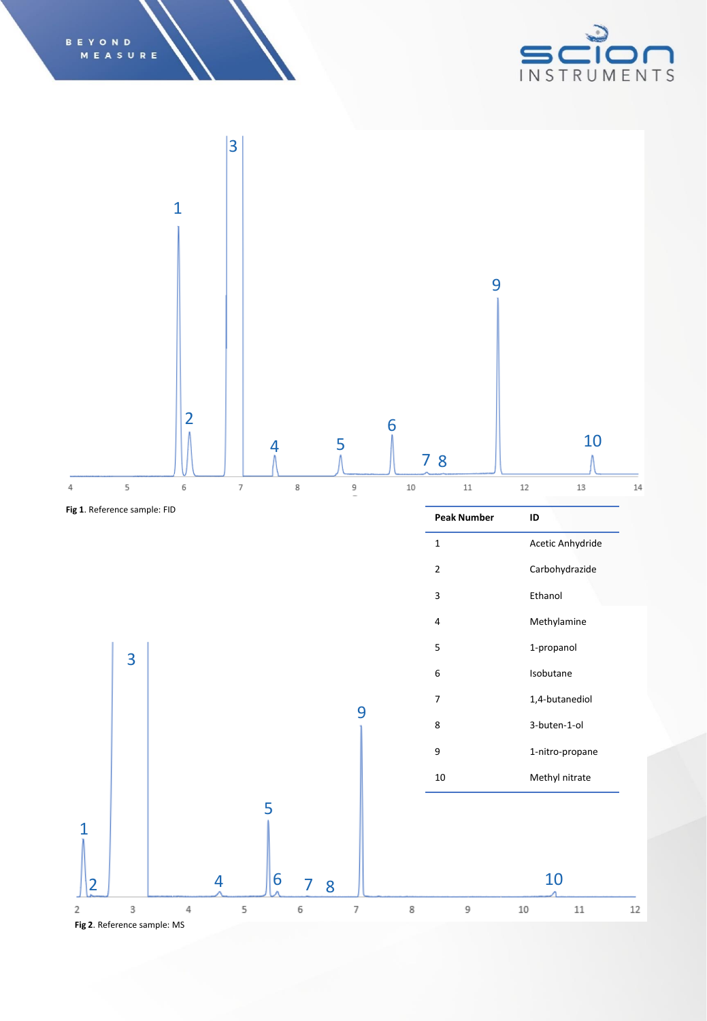